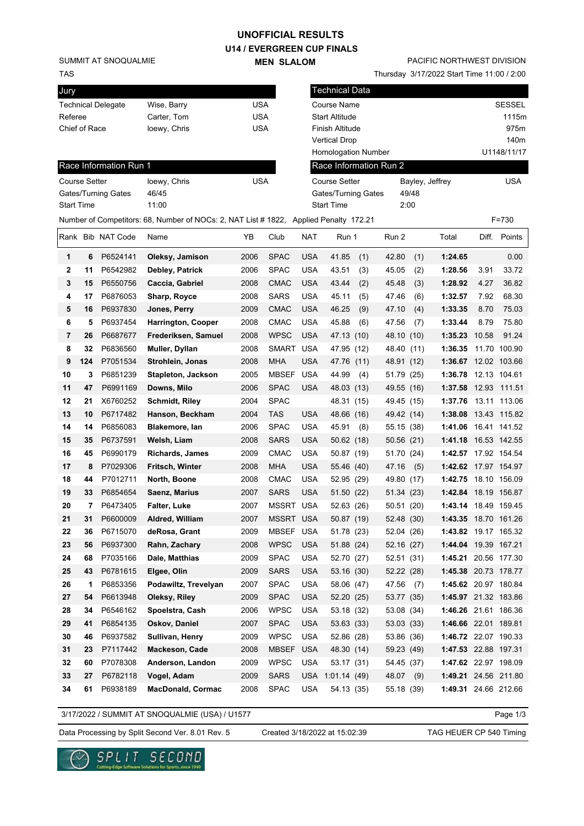## **U14 / EVERGREEN CUP FINALS UNOFFICIAL RESULTS**

**MEN SLALOM** 

SUMMIT AT SNOQUALMIE

TAS

| Jury                      |              |     |
|---------------------------|--------------|-----|
| <b>Technical Delegate</b> | Wise, Barry  | USA |
| Referee                   | Carter, Tom  | USA |
| Chief of Race             | loewy, Chris | USA |

Thursday 3/17/2022 Start Time 11:00 / 2:00

| Jury                 |     |                           |                                                                                       |            |              |            | <b>Technical Data</b>  |     |            |       |                      |       |               |
|----------------------|-----|---------------------------|---------------------------------------------------------------------------------------|------------|--------------|------------|------------------------|-----|------------|-------|----------------------|-------|---------------|
|                      |     | <b>Technical Delegate</b> | Wise, Barry                                                                           | <b>USA</b> |              |            | Course Name            |     |            |       |                      |       | <b>SESSEL</b> |
| Referee              |     |                           | Carter, Tom                                                                           | <b>USA</b> |              |            | <b>Start Altitude</b>  |     |            |       |                      |       | 1115m         |
| Chief of Race        |     |                           | loewy, Chris                                                                          | <b>USA</b> |              |            | Finish Altitude        |     |            |       |                      |       | 975m          |
|                      |     |                           |                                                                                       |            |              |            | <b>Vertical Drop</b>   |     |            |       |                      |       | 140m          |
|                      |     |                           |                                                                                       |            |              |            | Homologation Number    |     |            |       |                      |       | U1148/11/17   |
|                      |     | Race Information Run 1    |                                                                                       |            |              |            | Race Information Run 2 |     |            |       |                      |       |               |
| <b>Course Setter</b> |     |                           | loewy, Chris                                                                          | <b>USA</b> |              |            | <b>Course Setter</b>   |     |            |       | Bayley, Jeffrey      |       | <b>USA</b>    |
|                      |     | Gates/Turning Gates       | 46/45                                                                                 |            |              |            | Gates/Turning Gates    |     |            | 49/48 |                      |       |               |
| <b>Start Time</b>    |     |                           | 11:00                                                                                 |            |              |            | <b>Start Time</b>      |     | 2:00       |       |                      |       |               |
|                      |     |                           | Number of Competitors: 68, Number of NOCs: 2, NAT List # 1822, Applied Penalty 172.21 |            |              |            |                        |     |            |       |                      |       | $F = 730$     |
|                      |     | Rank Bib NAT Code         | Name                                                                                  | ΥB         | Club         | <b>NAT</b> | Run 1                  |     | Run 2      |       | Total                |       | Diff. Points  |
| 1                    | 6   | P6524141                  | Oleksy, Jamison                                                                       | 2006       | <b>SPAC</b>  | <b>USA</b> | 41.85                  | (1) | 42.80      | (1)   | 1:24.65              |       | 0.00          |
| 2                    | 11  | P6542982                  | Debley, Patrick                                                                       | 2006       | <b>SPAC</b>  | <b>USA</b> | 43.51                  | (3) | 45.05      | (2)   | 1:28.56              | 3.91  | 33.72         |
| 3                    | 15  | P6550756                  | Caccia, Gabriel                                                                       | 2008       | <b>CMAC</b>  | <b>USA</b> | 43.44                  | (2) | 45.48      | (3)   | 1:28.92              | 4.27  | 36.82         |
| 4                    | 17  | P6876053                  | Sharp, Royce                                                                          | 2008       | <b>SARS</b>  | <b>USA</b> | 45.11                  | (5) | 47.46      | (6)   | 1:32.57              | 7.92  | 68.30         |
| 5                    | 16  | P6937830                  | Jones, Perry                                                                          | 2009       | <b>CMAC</b>  | <b>USA</b> | 46.25                  | (9) | 47.10      | (4)   | 1:33.35              | 8.70  | 75.03         |
| 6                    | 5   | P6937454                  | Harrington, Cooper                                                                    | 2008       | <b>CMAC</b>  | <b>USA</b> | 45.88                  | (6) | 47.56      | (7)   | 1:33.44              | 8.79  | 75.80         |
| 7                    | 26  | P6687677                  | Frederiksen, Samuel                                                                   | 2008       | <b>WPSC</b>  | <b>USA</b> | 47.13 (10)             |     | 48.10      | (10)  | 1:35.23              | 10.58 | 91.24         |
| 8                    | 32  | P6836560                  | Muller, Dyllan                                                                        | 2008       | <b>SMART</b> | <b>USA</b> | 47.95 (12)             |     | 48.40      | (11)  | 1:36.35              |       | 11.70 100.90  |
| 9                    | 124 | P7051534                  | Strohlein, Jonas                                                                      | 2008       | <b>MHA</b>   | <b>USA</b> | 47.76 (11)             |     | 48.91 (12) |       | 1:36.67 12.02 103.66 |       |               |
| 10                   | 3   | P6851239                  | Stapleton, Jackson                                                                    | 2005       | <b>MBSEF</b> | <b>USA</b> | 44.99                  | (4) | 51.79 (25) |       | 1:36.78 12.13 104.61 |       |               |
| 11                   | 47  | P6991169                  | Downs, Milo                                                                           | 2006       | <b>SPAC</b>  | <b>USA</b> | 48.03 (13)             |     | 49.55 (16) |       | 1:37.58 12.93 111.51 |       |               |
| 12                   | 21  | X6760252                  | <b>Schmidt, Riley</b>                                                                 | 2004       | <b>SPAC</b>  |            | 48.31 (15)             |     | 49.45 (15) |       | 1:37.76              |       | 13.11 113.06  |
| 13                   | 10  | P6717482                  | Hanson, Beckham                                                                       | 2004       | TAS          | <b>USA</b> | 48.66 (16)             |     | 49.42 (14) |       | 1:38.08 13.43 115.82 |       |               |
| 14                   | 14  | P6856083                  | Blakemore, lan                                                                        | 2006       | <b>SPAC</b>  | <b>USA</b> | 45.91                  | (8) | 55.15 (38) |       | 1:41.06 16.41 141.52 |       |               |
| 15                   | 35  | P6737591                  | Welsh, Liam                                                                           | 2008       | <b>SARS</b>  | <b>USA</b> | 50.62(18)              |     | 50.56 (21) |       | 1:41.18 16.53 142.55 |       |               |
| 16                   | 45  | P6990179                  | <b>Richards, James</b>                                                                | 2009       | <b>CMAC</b>  | <b>USA</b> | 50.87 (19)             |     | 51.70 (24) |       | 1:42.57 17.92 154.54 |       |               |
| 17                   | 8   | P7029306                  | Fritsch, Winter                                                                       | 2008       | <b>MHA</b>   | <b>USA</b> | 55.46 (40)             |     | 47.16      | (5)   | 1:42.62 17.97 154.97 |       |               |
| 18                   | 44  | P7012711                  | North, Boone                                                                          | 2008       | <b>CMAC</b>  | <b>USA</b> | 52.95 (29)             |     | 49.80 (17) |       | 1:42.75 18.10 156.09 |       |               |
| 19                   | 33  | P6854654                  | Saenz, Marius                                                                         | 2007       | <b>SARS</b>  | <b>USA</b> | 51.50 (22)             |     | 51.34 (23) |       | 1:42.84 18.19 156.87 |       |               |
| 20                   | 7   | P6473405                  | <b>Falter, Luke</b>                                                                   | 2007       | <b>MSSRT</b> | <b>USA</b> | 52.63 (26)             |     | 50.51 (20) |       | 1:43.14 18.49 159.45 |       |               |
| 21                   | 31  | P6600009                  | Aldred, William                                                                       | 2007       | <b>MSSRT</b> | <b>USA</b> | 50.87 (19)             |     | 52.48 (30) |       | 1:43.35 18.70 161.26 |       |               |
| 22                   | 36  | P6715070                  | deRosa, Grant                                                                         | 2009       | <b>MBSEF</b> | <b>USA</b> | 51.78 (23)             |     | 52.04 (26) |       | 1:43.82 19.17 165.32 |       |               |
| 23                   | 56  | P6937300                  | Rahn, Zachary                                                                         | 2008       | <b>WPSC</b>  | <b>USA</b> | 51.88 (24)             |     | 52.16 (27) |       | 1:44.04 19.39 167.21 |       |               |
| 24                   | 68  | P7035166                  | Dale, Matthias                                                                        | 2009       | <b>SPAC</b>  | <b>USA</b> | 52.70 (27)             |     | 52.51 (31) |       | 1:45.21 20.56 177.30 |       |               |
| 25                   | 43  | P6781615                  | Elgee, Olin                                                                           | 2009       | <b>SARS</b>  | <b>USA</b> | 53.16 (30)             |     | 52.22 (28) |       | 1:45.38 20.73 178.77 |       |               |
| 26                   | 1   | P6853356                  | Podawiltz, Trevelyan                                                                  | 2007       | <b>SPAC</b>  | <b>USA</b> | 58.06 (47)             |     | 47.56      | (7)   | 1:45.62 20.97 180.84 |       |               |
| 27                   | 54  | P6613948                  | Oleksy, Riley                                                                         | 2009       | <b>SPAC</b>  | <b>USA</b> | 52.20 (25)             |     | 53.77 (35) |       | 1:45.97 21.32 183.86 |       |               |
| 28                   | 34  | P6546162                  | Spoelstra, Cash                                                                       | 2006       | <b>WPSC</b>  | <b>USA</b> | 53.18 (32)             |     | 53.08 (34) |       | 1:46.26 21.61 186.36 |       |               |
| 29                   | 41  | P6854135                  | Oskov, Daniel                                                                         | 2007       | <b>SPAC</b>  | <b>USA</b> | 53.63 (33)             |     | 53.03 (33) |       | 1:46.66 22.01 189.81 |       |               |
| 30                   | 46  | P6937582                  | Sullivan, Henry                                                                       | 2009       | <b>WPSC</b>  | <b>USA</b> | 52.86 (28)             |     | 53.86 (36) |       | 1:46.72 22.07 190.33 |       |               |
| 31                   | 23  | P7117442                  | Mackeson, Cade                                                                        | 2008       | MBSEF        | <b>USA</b> | 48.30 (14)             |     | 59.23 (49) |       | 1:47.53 22.88 197.31 |       |               |
| 32                   | 60  | P7078308                  | Anderson, Landon                                                                      | 2009       | <b>WPSC</b>  | <b>USA</b> | 53.17 (31)             |     | 54.45 (37) |       | 1:47.62 22.97 198.09 |       |               |
| 33                   | 27  | P6782118                  | Vogel, Adam                                                                           | 2009       | <b>SARS</b>  | <b>USA</b> | 1:01.14(49)            |     | 48.07 (9)  |       | 1:49.21 24.56 211.80 |       |               |
| 34                   | 61  | P6938189                  | <b>MacDonald, Cormac</b>                                                              | 2008       | <b>SPAC</b>  | USA        | 54.13 (35)             |     | 55.18 (39) |       | 1:49.31 24.66 212.66 |       |               |
|                      |     |                           |                                                                                       |            |              |            |                        |     |            |       |                      |       |               |

3/17/2022 / SUMMIT AT SNOQUALMIE (USA) / U1577

Data Processing by Split Second Ver. 8.01 Rev. 5 Created 3/18/2022 at 15:02:39 TAG HEUER CP 540 Timing Created 3/18/2022 at 15:02:39

Page 1/3



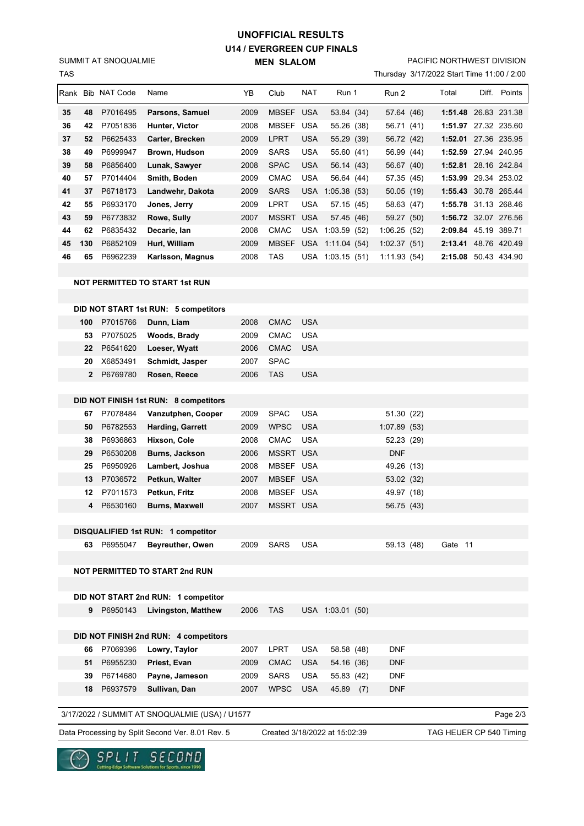## **U14 / EVERGREEN CUP FINALS MEN SLALOM UNOFFICIAL RESULTS**

TAS SUMMIT AT SNOQUALMIE

## PACIFIC NORTHWEST DIVISION

Thursday 3/17/2022 Start Time 11:00 / 2:00

| Rank Bib NAT Code<br>NAT<br>Run 1<br>Total<br>Diff. Points<br>Name<br>YΒ<br>Club<br>Run 2<br>2009<br><b>MBSEF</b><br>1:51.48 26.83 231.38<br>35<br>48<br>P7016495<br><b>USA</b><br>Parsons, Samuel<br>53.84 (34)<br>57.64 (46)<br>P7051836<br>MBSEF<br>1:51.97 27.32 235.60<br>36<br>Hunter, Victor<br>2008<br>USA<br>42<br>55.26 (38)<br>56.71 (41)<br><b>LPRT</b><br><b>USA</b><br>37<br>52<br>P6625433<br>2009<br>55.29 (39)<br>56.72 (42)<br>1:52.01 27.36 235.95<br>Carter, Brecken<br>38<br>P6999947<br><b>SARS</b><br><b>USA</b><br>1:52.59 27.94 240.95<br>49<br>Brown, Hudson<br>2009<br>55.60 (41)<br>56.99 (44)<br>39<br><b>SPAC</b><br><b>USA</b><br>1:52.81 28.16 242.84<br>58<br>P6856400<br>Lunak, Sawyer<br>2008<br>56.14 (43)<br>56.67 (40)<br><b>USA</b><br>40<br>P7014404<br>Smith, Boden<br>2009<br><b>CMAC</b><br>56.64 (44)<br>57.35 (45)<br>1:53.99 29.34 253.02<br>57<br>41<br>P6718173<br>Landwehr, Dakota<br>2009<br><b>SARS</b><br>USA 1:05.38 (53)<br>50.05 (19)<br>1:55.43 30.78 265.44<br>37<br>42<br>P6933170<br>LPRT<br><b>USA</b><br>1:55.78 31.13 268.46<br>Jones, Jerry<br>2009<br>57.15 (45)<br>58.63 (47)<br>55<br>43<br>P6773832<br><b>USA</b><br>1:56.72 32.07 276.56<br>59<br>Rowe, Sully<br>2007<br>MSSRT<br>57.45 (46)<br>59.27 (50)<br>44<br>P6835432<br>2008<br><b>CMAC</b><br>2:09.84 45.19 389.71<br>62<br>Decarie, lan<br>USA 1:03.59 (52)<br>1:06.25(52)<br>P6852109<br><b>MBSEF</b><br>2:13.41 48.76 420.49<br>45<br>130<br>Hurl, William<br>2009<br>USA 1:11.04 (54)<br>1:02.37(51)<br>46<br>P6962239<br>2008<br>TAS<br>2:15.08 50.43 434.90<br>65<br>Karlsson, Magnus<br>USA 1:03.15 (51)<br>1:11.93(54)<br><b>NOT PERMITTED TO START 1st RUN</b><br>DID NOT START 1st RUN: 5 competitors<br><b>CMAC</b><br><b>USA</b><br>P7015766<br>Dunn, Liam<br>2008<br>100<br><b>CMAC</b><br>USA<br>P7075025<br>Woods, Brady<br>2009<br>53<br>P6541620<br><b>CMAC</b><br>22<br>Loeser, Wyatt<br>2006<br>USA<br>X6853491<br><b>SPAC</b><br>20<br>Schmidt, Jasper<br>2007<br>P6769780<br>$\mathbf{2}$<br>2006<br>TAS<br>USA<br>Rosen, Reece<br>DID NOT FINISH 1st RUN: 8 competitors<br><b>SPAC</b><br><b>USA</b><br>P7078484<br>Vanzutphen, Cooper<br>2009<br>51.30 (22)<br>67<br>P6782553<br><b>WPSC</b><br><b>USA</b><br>50<br><b>Harding, Garrett</b><br>2009<br>1:07.89(53)<br><b>CMAC</b><br>P6936863<br>Hixson, Cole<br>2008<br>USA<br>52.23 (29)<br>38<br>P6530208<br>MSSRT USA<br>29<br>Burns, Jackson<br>2006<br>DNF<br>P6950926<br>MBSEF USA<br>25<br>Lambert, Joshua<br>2008<br>49.26 (13)<br>P7036572<br>13<br>Petkun, Walter<br>2007<br>MBSEF USA<br>53.02 (32)<br>P7011573<br>MBSEF USA<br>12<br>Petkun, Fritz<br>2008<br>49.97 (18)<br>P6530160<br><b>MSSRT USA</b><br>2007<br>4<br><b>Burns, Maxwell</b><br>56.75 (43)<br>DISQUALIFIED 1st RUN: 1 competitor<br>59.13 (48)<br>Gate 11<br>63 P6955047<br><b>Beyreuther, Owen</b><br>2009<br><b>SARS</b><br><b>USA</b><br><b>NOT PERMITTED TO START 2nd RUN</b><br>DID NOT START 2nd RUN: 1 competitor<br>9 P6950143<br>2006<br>TAS<br>USA 1:03.01 (50)<br>Livingston, Matthew<br>DID NOT FINISH 2nd RUN: 4 competitors<br><b>LPRT</b><br><b>USA</b><br>58.58 (48)<br><b>DNF</b><br>P7069396<br>Lowry, Taylor<br>2007<br>66<br>P6955230<br>Priest, Evan<br>2009<br><b>CMAC</b><br><b>USA</b><br>54.16 (36)<br><b>DNF</b><br>51<br>USA<br><b>DNF</b><br>P6714680<br>Payne, Jameson<br>2009<br>SARS<br>55.83 (42)<br>39<br>18 P6937579<br>Sullivan, Dan<br>2007<br><b>WPSC</b><br><b>USA</b><br>45.89 (7)<br><b>DNF</b><br>3/17/2022 / SUMMIT AT SNOQUALMIE (USA) / U1577<br>Page 2/3 | 1 AS |  |  |  |  | Inursday $3/11/2022$ Start Time TT:00 / 2:00 |  |  |
|------------------------------------------------------------------------------------------------------------------------------------------------------------------------------------------------------------------------------------------------------------------------------------------------------------------------------------------------------------------------------------------------------------------------------------------------------------------------------------------------------------------------------------------------------------------------------------------------------------------------------------------------------------------------------------------------------------------------------------------------------------------------------------------------------------------------------------------------------------------------------------------------------------------------------------------------------------------------------------------------------------------------------------------------------------------------------------------------------------------------------------------------------------------------------------------------------------------------------------------------------------------------------------------------------------------------------------------------------------------------------------------------------------------------------------------------------------------------------------------------------------------------------------------------------------------------------------------------------------------------------------------------------------------------------------------------------------------------------------------------------------------------------------------------------------------------------------------------------------------------------------------------------------------------------------------------------------------------------------------------------------------------------------------------------------------------------------------------------------------------------------------------------------------------------------------------------------------------------------------------------------------------------------------------------------------------------------------------------------------------------------------------------------------------------------------------------------------------------------------------------------------------------------------------------------------------------------------------------------------------------------------------------------------------------------------------------------------------------------------------------------------------------------------------------------------------------------------------------------------------------------------------------------------------------------------------------------------------------------------------------------------------------------------------------------------------------------------------------------------------------------------------------------------------------------------------------------------------------------------------------------------------------------------------------------------------------------------------------------------------------------------------------------------------------------------------------------------------------------------------------------------------------------------------------------------------------------------|------|--|--|--|--|----------------------------------------------|--|--|
|                                                                                                                                                                                                                                                                                                                                                                                                                                                                                                                                                                                                                                                                                                                                                                                                                                                                                                                                                                                                                                                                                                                                                                                                                                                                                                                                                                                                                                                                                                                                                                                                                                                                                                                                                                                                                                                                                                                                                                                                                                                                                                                                                                                                                                                                                                                                                                                                                                                                                                                                                                                                                                                                                                                                                                                                                                                                                                                                                                                                                                                                                                                                                                                                                                                                                                                                                                                                                                                                                                                                                                                          |      |  |  |  |  |                                              |  |  |
|                                                                                                                                                                                                                                                                                                                                                                                                                                                                                                                                                                                                                                                                                                                                                                                                                                                                                                                                                                                                                                                                                                                                                                                                                                                                                                                                                                                                                                                                                                                                                                                                                                                                                                                                                                                                                                                                                                                                                                                                                                                                                                                                                                                                                                                                                                                                                                                                                                                                                                                                                                                                                                                                                                                                                                                                                                                                                                                                                                                                                                                                                                                                                                                                                                                                                                                                                                                                                                                                                                                                                                                          |      |  |  |  |  |                                              |  |  |
|                                                                                                                                                                                                                                                                                                                                                                                                                                                                                                                                                                                                                                                                                                                                                                                                                                                                                                                                                                                                                                                                                                                                                                                                                                                                                                                                                                                                                                                                                                                                                                                                                                                                                                                                                                                                                                                                                                                                                                                                                                                                                                                                                                                                                                                                                                                                                                                                                                                                                                                                                                                                                                                                                                                                                                                                                                                                                                                                                                                                                                                                                                                                                                                                                                                                                                                                                                                                                                                                                                                                                                                          |      |  |  |  |  |                                              |  |  |
|                                                                                                                                                                                                                                                                                                                                                                                                                                                                                                                                                                                                                                                                                                                                                                                                                                                                                                                                                                                                                                                                                                                                                                                                                                                                                                                                                                                                                                                                                                                                                                                                                                                                                                                                                                                                                                                                                                                                                                                                                                                                                                                                                                                                                                                                                                                                                                                                                                                                                                                                                                                                                                                                                                                                                                                                                                                                                                                                                                                                                                                                                                                                                                                                                                                                                                                                                                                                                                                                                                                                                                                          |      |  |  |  |  |                                              |  |  |
|                                                                                                                                                                                                                                                                                                                                                                                                                                                                                                                                                                                                                                                                                                                                                                                                                                                                                                                                                                                                                                                                                                                                                                                                                                                                                                                                                                                                                                                                                                                                                                                                                                                                                                                                                                                                                                                                                                                                                                                                                                                                                                                                                                                                                                                                                                                                                                                                                                                                                                                                                                                                                                                                                                                                                                                                                                                                                                                                                                                                                                                                                                                                                                                                                                                                                                                                                                                                                                                                                                                                                                                          |      |  |  |  |  |                                              |  |  |
|                                                                                                                                                                                                                                                                                                                                                                                                                                                                                                                                                                                                                                                                                                                                                                                                                                                                                                                                                                                                                                                                                                                                                                                                                                                                                                                                                                                                                                                                                                                                                                                                                                                                                                                                                                                                                                                                                                                                                                                                                                                                                                                                                                                                                                                                                                                                                                                                                                                                                                                                                                                                                                                                                                                                                                                                                                                                                                                                                                                                                                                                                                                                                                                                                                                                                                                                                                                                                                                                                                                                                                                          |      |  |  |  |  |                                              |  |  |
|                                                                                                                                                                                                                                                                                                                                                                                                                                                                                                                                                                                                                                                                                                                                                                                                                                                                                                                                                                                                                                                                                                                                                                                                                                                                                                                                                                                                                                                                                                                                                                                                                                                                                                                                                                                                                                                                                                                                                                                                                                                                                                                                                                                                                                                                                                                                                                                                                                                                                                                                                                                                                                                                                                                                                                                                                                                                                                                                                                                                                                                                                                                                                                                                                                                                                                                                                                                                                                                                                                                                                                                          |      |  |  |  |  |                                              |  |  |
|                                                                                                                                                                                                                                                                                                                                                                                                                                                                                                                                                                                                                                                                                                                                                                                                                                                                                                                                                                                                                                                                                                                                                                                                                                                                                                                                                                                                                                                                                                                                                                                                                                                                                                                                                                                                                                                                                                                                                                                                                                                                                                                                                                                                                                                                                                                                                                                                                                                                                                                                                                                                                                                                                                                                                                                                                                                                                                                                                                                                                                                                                                                                                                                                                                                                                                                                                                                                                                                                                                                                                                                          |      |  |  |  |  |                                              |  |  |
|                                                                                                                                                                                                                                                                                                                                                                                                                                                                                                                                                                                                                                                                                                                                                                                                                                                                                                                                                                                                                                                                                                                                                                                                                                                                                                                                                                                                                                                                                                                                                                                                                                                                                                                                                                                                                                                                                                                                                                                                                                                                                                                                                                                                                                                                                                                                                                                                                                                                                                                                                                                                                                                                                                                                                                                                                                                                                                                                                                                                                                                                                                                                                                                                                                                                                                                                                                                                                                                                                                                                                                                          |      |  |  |  |  |                                              |  |  |
|                                                                                                                                                                                                                                                                                                                                                                                                                                                                                                                                                                                                                                                                                                                                                                                                                                                                                                                                                                                                                                                                                                                                                                                                                                                                                                                                                                                                                                                                                                                                                                                                                                                                                                                                                                                                                                                                                                                                                                                                                                                                                                                                                                                                                                                                                                                                                                                                                                                                                                                                                                                                                                                                                                                                                                                                                                                                                                                                                                                                                                                                                                                                                                                                                                                                                                                                                                                                                                                                                                                                                                                          |      |  |  |  |  |                                              |  |  |
|                                                                                                                                                                                                                                                                                                                                                                                                                                                                                                                                                                                                                                                                                                                                                                                                                                                                                                                                                                                                                                                                                                                                                                                                                                                                                                                                                                                                                                                                                                                                                                                                                                                                                                                                                                                                                                                                                                                                                                                                                                                                                                                                                                                                                                                                                                                                                                                                                                                                                                                                                                                                                                                                                                                                                                                                                                                                                                                                                                                                                                                                                                                                                                                                                                                                                                                                                                                                                                                                                                                                                                                          |      |  |  |  |  |                                              |  |  |
|                                                                                                                                                                                                                                                                                                                                                                                                                                                                                                                                                                                                                                                                                                                                                                                                                                                                                                                                                                                                                                                                                                                                                                                                                                                                                                                                                                                                                                                                                                                                                                                                                                                                                                                                                                                                                                                                                                                                                                                                                                                                                                                                                                                                                                                                                                                                                                                                                                                                                                                                                                                                                                                                                                                                                                                                                                                                                                                                                                                                                                                                                                                                                                                                                                                                                                                                                                                                                                                                                                                                                                                          |      |  |  |  |  |                                              |  |  |
|                                                                                                                                                                                                                                                                                                                                                                                                                                                                                                                                                                                                                                                                                                                                                                                                                                                                                                                                                                                                                                                                                                                                                                                                                                                                                                                                                                                                                                                                                                                                                                                                                                                                                                                                                                                                                                                                                                                                                                                                                                                                                                                                                                                                                                                                                                                                                                                                                                                                                                                                                                                                                                                                                                                                                                                                                                                                                                                                                                                                                                                                                                                                                                                                                                                                                                                                                                                                                                                                                                                                                                                          |      |  |  |  |  |                                              |  |  |
|                                                                                                                                                                                                                                                                                                                                                                                                                                                                                                                                                                                                                                                                                                                                                                                                                                                                                                                                                                                                                                                                                                                                                                                                                                                                                                                                                                                                                                                                                                                                                                                                                                                                                                                                                                                                                                                                                                                                                                                                                                                                                                                                                                                                                                                                                                                                                                                                                                                                                                                                                                                                                                                                                                                                                                                                                                                                                                                                                                                                                                                                                                                                                                                                                                                                                                                                                                                                                                                                                                                                                                                          |      |  |  |  |  |                                              |  |  |
|                                                                                                                                                                                                                                                                                                                                                                                                                                                                                                                                                                                                                                                                                                                                                                                                                                                                                                                                                                                                                                                                                                                                                                                                                                                                                                                                                                                                                                                                                                                                                                                                                                                                                                                                                                                                                                                                                                                                                                                                                                                                                                                                                                                                                                                                                                                                                                                                                                                                                                                                                                                                                                                                                                                                                                                                                                                                                                                                                                                                                                                                                                                                                                                                                                                                                                                                                                                                                                                                                                                                                                                          |      |  |  |  |  |                                              |  |  |
|                                                                                                                                                                                                                                                                                                                                                                                                                                                                                                                                                                                                                                                                                                                                                                                                                                                                                                                                                                                                                                                                                                                                                                                                                                                                                                                                                                                                                                                                                                                                                                                                                                                                                                                                                                                                                                                                                                                                                                                                                                                                                                                                                                                                                                                                                                                                                                                                                                                                                                                                                                                                                                                                                                                                                                                                                                                                                                                                                                                                                                                                                                                                                                                                                                                                                                                                                                                                                                                                                                                                                                                          |      |  |  |  |  |                                              |  |  |
|                                                                                                                                                                                                                                                                                                                                                                                                                                                                                                                                                                                                                                                                                                                                                                                                                                                                                                                                                                                                                                                                                                                                                                                                                                                                                                                                                                                                                                                                                                                                                                                                                                                                                                                                                                                                                                                                                                                                                                                                                                                                                                                                                                                                                                                                                                                                                                                                                                                                                                                                                                                                                                                                                                                                                                                                                                                                                                                                                                                                                                                                                                                                                                                                                                                                                                                                                                                                                                                                                                                                                                                          |      |  |  |  |  |                                              |  |  |
|                                                                                                                                                                                                                                                                                                                                                                                                                                                                                                                                                                                                                                                                                                                                                                                                                                                                                                                                                                                                                                                                                                                                                                                                                                                                                                                                                                                                                                                                                                                                                                                                                                                                                                                                                                                                                                                                                                                                                                                                                                                                                                                                                                                                                                                                                                                                                                                                                                                                                                                                                                                                                                                                                                                                                                                                                                                                                                                                                                                                                                                                                                                                                                                                                                                                                                                                                                                                                                                                                                                                                                                          |      |  |  |  |  |                                              |  |  |
|                                                                                                                                                                                                                                                                                                                                                                                                                                                                                                                                                                                                                                                                                                                                                                                                                                                                                                                                                                                                                                                                                                                                                                                                                                                                                                                                                                                                                                                                                                                                                                                                                                                                                                                                                                                                                                                                                                                                                                                                                                                                                                                                                                                                                                                                                                                                                                                                                                                                                                                                                                                                                                                                                                                                                                                                                                                                                                                                                                                                                                                                                                                                                                                                                                                                                                                                                                                                                                                                                                                                                                                          |      |  |  |  |  |                                              |  |  |
|                                                                                                                                                                                                                                                                                                                                                                                                                                                                                                                                                                                                                                                                                                                                                                                                                                                                                                                                                                                                                                                                                                                                                                                                                                                                                                                                                                                                                                                                                                                                                                                                                                                                                                                                                                                                                                                                                                                                                                                                                                                                                                                                                                                                                                                                                                                                                                                                                                                                                                                                                                                                                                                                                                                                                                                                                                                                                                                                                                                                                                                                                                                                                                                                                                                                                                                                                                                                                                                                                                                                                                                          |      |  |  |  |  |                                              |  |  |
|                                                                                                                                                                                                                                                                                                                                                                                                                                                                                                                                                                                                                                                                                                                                                                                                                                                                                                                                                                                                                                                                                                                                                                                                                                                                                                                                                                                                                                                                                                                                                                                                                                                                                                                                                                                                                                                                                                                                                                                                                                                                                                                                                                                                                                                                                                                                                                                                                                                                                                                                                                                                                                                                                                                                                                                                                                                                                                                                                                                                                                                                                                                                                                                                                                                                                                                                                                                                                                                                                                                                                                                          |      |  |  |  |  |                                              |  |  |
|                                                                                                                                                                                                                                                                                                                                                                                                                                                                                                                                                                                                                                                                                                                                                                                                                                                                                                                                                                                                                                                                                                                                                                                                                                                                                                                                                                                                                                                                                                                                                                                                                                                                                                                                                                                                                                                                                                                                                                                                                                                                                                                                                                                                                                                                                                                                                                                                                                                                                                                                                                                                                                                                                                                                                                                                                                                                                                                                                                                                                                                                                                                                                                                                                                                                                                                                                                                                                                                                                                                                                                                          |      |  |  |  |  |                                              |  |  |
|                                                                                                                                                                                                                                                                                                                                                                                                                                                                                                                                                                                                                                                                                                                                                                                                                                                                                                                                                                                                                                                                                                                                                                                                                                                                                                                                                                                                                                                                                                                                                                                                                                                                                                                                                                                                                                                                                                                                                                                                                                                                                                                                                                                                                                                                                                                                                                                                                                                                                                                                                                                                                                                                                                                                                                                                                                                                                                                                                                                                                                                                                                                                                                                                                                                                                                                                                                                                                                                                                                                                                                                          |      |  |  |  |  |                                              |  |  |
|                                                                                                                                                                                                                                                                                                                                                                                                                                                                                                                                                                                                                                                                                                                                                                                                                                                                                                                                                                                                                                                                                                                                                                                                                                                                                                                                                                                                                                                                                                                                                                                                                                                                                                                                                                                                                                                                                                                                                                                                                                                                                                                                                                                                                                                                                                                                                                                                                                                                                                                                                                                                                                                                                                                                                                                                                                                                                                                                                                                                                                                                                                                                                                                                                                                                                                                                                                                                                                                                                                                                                                                          |      |  |  |  |  |                                              |  |  |
|                                                                                                                                                                                                                                                                                                                                                                                                                                                                                                                                                                                                                                                                                                                                                                                                                                                                                                                                                                                                                                                                                                                                                                                                                                                                                                                                                                                                                                                                                                                                                                                                                                                                                                                                                                                                                                                                                                                                                                                                                                                                                                                                                                                                                                                                                                                                                                                                                                                                                                                                                                                                                                                                                                                                                                                                                                                                                                                                                                                                                                                                                                                                                                                                                                                                                                                                                                                                                                                                                                                                                                                          |      |  |  |  |  |                                              |  |  |
|                                                                                                                                                                                                                                                                                                                                                                                                                                                                                                                                                                                                                                                                                                                                                                                                                                                                                                                                                                                                                                                                                                                                                                                                                                                                                                                                                                                                                                                                                                                                                                                                                                                                                                                                                                                                                                                                                                                                                                                                                                                                                                                                                                                                                                                                                                                                                                                                                                                                                                                                                                                                                                                                                                                                                                                                                                                                                                                                                                                                                                                                                                                                                                                                                                                                                                                                                                                                                                                                                                                                                                                          |      |  |  |  |  |                                              |  |  |
|                                                                                                                                                                                                                                                                                                                                                                                                                                                                                                                                                                                                                                                                                                                                                                                                                                                                                                                                                                                                                                                                                                                                                                                                                                                                                                                                                                                                                                                                                                                                                                                                                                                                                                                                                                                                                                                                                                                                                                                                                                                                                                                                                                                                                                                                                                                                                                                                                                                                                                                                                                                                                                                                                                                                                                                                                                                                                                                                                                                                                                                                                                                                                                                                                                                                                                                                                                                                                                                                                                                                                                                          |      |  |  |  |  |                                              |  |  |
|                                                                                                                                                                                                                                                                                                                                                                                                                                                                                                                                                                                                                                                                                                                                                                                                                                                                                                                                                                                                                                                                                                                                                                                                                                                                                                                                                                                                                                                                                                                                                                                                                                                                                                                                                                                                                                                                                                                                                                                                                                                                                                                                                                                                                                                                                                                                                                                                                                                                                                                                                                                                                                                                                                                                                                                                                                                                                                                                                                                                                                                                                                                                                                                                                                                                                                                                                                                                                                                                                                                                                                                          |      |  |  |  |  |                                              |  |  |
|                                                                                                                                                                                                                                                                                                                                                                                                                                                                                                                                                                                                                                                                                                                                                                                                                                                                                                                                                                                                                                                                                                                                                                                                                                                                                                                                                                                                                                                                                                                                                                                                                                                                                                                                                                                                                                                                                                                                                                                                                                                                                                                                                                                                                                                                                                                                                                                                                                                                                                                                                                                                                                                                                                                                                                                                                                                                                                                                                                                                                                                                                                                                                                                                                                                                                                                                                                                                                                                                                                                                                                                          |      |  |  |  |  |                                              |  |  |
|                                                                                                                                                                                                                                                                                                                                                                                                                                                                                                                                                                                                                                                                                                                                                                                                                                                                                                                                                                                                                                                                                                                                                                                                                                                                                                                                                                                                                                                                                                                                                                                                                                                                                                                                                                                                                                                                                                                                                                                                                                                                                                                                                                                                                                                                                                                                                                                                                                                                                                                                                                                                                                                                                                                                                                                                                                                                                                                                                                                                                                                                                                                                                                                                                                                                                                                                                                                                                                                                                                                                                                                          |      |  |  |  |  |                                              |  |  |
|                                                                                                                                                                                                                                                                                                                                                                                                                                                                                                                                                                                                                                                                                                                                                                                                                                                                                                                                                                                                                                                                                                                                                                                                                                                                                                                                                                                                                                                                                                                                                                                                                                                                                                                                                                                                                                                                                                                                                                                                                                                                                                                                                                                                                                                                                                                                                                                                                                                                                                                                                                                                                                                                                                                                                                                                                                                                                                                                                                                                                                                                                                                                                                                                                                                                                                                                                                                                                                                                                                                                                                                          |      |  |  |  |  |                                              |  |  |
|                                                                                                                                                                                                                                                                                                                                                                                                                                                                                                                                                                                                                                                                                                                                                                                                                                                                                                                                                                                                                                                                                                                                                                                                                                                                                                                                                                                                                                                                                                                                                                                                                                                                                                                                                                                                                                                                                                                                                                                                                                                                                                                                                                                                                                                                                                                                                                                                                                                                                                                                                                                                                                                                                                                                                                                                                                                                                                                                                                                                                                                                                                                                                                                                                                                                                                                                                                                                                                                                                                                                                                                          |      |  |  |  |  |                                              |  |  |
|                                                                                                                                                                                                                                                                                                                                                                                                                                                                                                                                                                                                                                                                                                                                                                                                                                                                                                                                                                                                                                                                                                                                                                                                                                                                                                                                                                                                                                                                                                                                                                                                                                                                                                                                                                                                                                                                                                                                                                                                                                                                                                                                                                                                                                                                                                                                                                                                                                                                                                                                                                                                                                                                                                                                                                                                                                                                                                                                                                                                                                                                                                                                                                                                                                                                                                                                                                                                                                                                                                                                                                                          |      |  |  |  |  |                                              |  |  |
|                                                                                                                                                                                                                                                                                                                                                                                                                                                                                                                                                                                                                                                                                                                                                                                                                                                                                                                                                                                                                                                                                                                                                                                                                                                                                                                                                                                                                                                                                                                                                                                                                                                                                                                                                                                                                                                                                                                                                                                                                                                                                                                                                                                                                                                                                                                                                                                                                                                                                                                                                                                                                                                                                                                                                                                                                                                                                                                                                                                                                                                                                                                                                                                                                                                                                                                                                                                                                                                                                                                                                                                          |      |  |  |  |  |                                              |  |  |
|                                                                                                                                                                                                                                                                                                                                                                                                                                                                                                                                                                                                                                                                                                                                                                                                                                                                                                                                                                                                                                                                                                                                                                                                                                                                                                                                                                                                                                                                                                                                                                                                                                                                                                                                                                                                                                                                                                                                                                                                                                                                                                                                                                                                                                                                                                                                                                                                                                                                                                                                                                                                                                                                                                                                                                                                                                                                                                                                                                                                                                                                                                                                                                                                                                                                                                                                                                                                                                                                                                                                                                                          |      |  |  |  |  |                                              |  |  |
|                                                                                                                                                                                                                                                                                                                                                                                                                                                                                                                                                                                                                                                                                                                                                                                                                                                                                                                                                                                                                                                                                                                                                                                                                                                                                                                                                                                                                                                                                                                                                                                                                                                                                                                                                                                                                                                                                                                                                                                                                                                                                                                                                                                                                                                                                                                                                                                                                                                                                                                                                                                                                                                                                                                                                                                                                                                                                                                                                                                                                                                                                                                                                                                                                                                                                                                                                                                                                                                                                                                                                                                          |      |  |  |  |  |                                              |  |  |
|                                                                                                                                                                                                                                                                                                                                                                                                                                                                                                                                                                                                                                                                                                                                                                                                                                                                                                                                                                                                                                                                                                                                                                                                                                                                                                                                                                                                                                                                                                                                                                                                                                                                                                                                                                                                                                                                                                                                                                                                                                                                                                                                                                                                                                                                                                                                                                                                                                                                                                                                                                                                                                                                                                                                                                                                                                                                                                                                                                                                                                                                                                                                                                                                                                                                                                                                                                                                                                                                                                                                                                                          |      |  |  |  |  |                                              |  |  |
|                                                                                                                                                                                                                                                                                                                                                                                                                                                                                                                                                                                                                                                                                                                                                                                                                                                                                                                                                                                                                                                                                                                                                                                                                                                                                                                                                                                                                                                                                                                                                                                                                                                                                                                                                                                                                                                                                                                                                                                                                                                                                                                                                                                                                                                                                                                                                                                                                                                                                                                                                                                                                                                                                                                                                                                                                                                                                                                                                                                                                                                                                                                                                                                                                                                                                                                                                                                                                                                                                                                                                                                          |      |  |  |  |  |                                              |  |  |
|                                                                                                                                                                                                                                                                                                                                                                                                                                                                                                                                                                                                                                                                                                                                                                                                                                                                                                                                                                                                                                                                                                                                                                                                                                                                                                                                                                                                                                                                                                                                                                                                                                                                                                                                                                                                                                                                                                                                                                                                                                                                                                                                                                                                                                                                                                                                                                                                                                                                                                                                                                                                                                                                                                                                                                                                                                                                                                                                                                                                                                                                                                                                                                                                                                                                                                                                                                                                                                                                                                                                                                                          |      |  |  |  |  |                                              |  |  |
|                                                                                                                                                                                                                                                                                                                                                                                                                                                                                                                                                                                                                                                                                                                                                                                                                                                                                                                                                                                                                                                                                                                                                                                                                                                                                                                                                                                                                                                                                                                                                                                                                                                                                                                                                                                                                                                                                                                                                                                                                                                                                                                                                                                                                                                                                                                                                                                                                                                                                                                                                                                                                                                                                                                                                                                                                                                                                                                                                                                                                                                                                                                                                                                                                                                                                                                                                                                                                                                                                                                                                                                          |      |  |  |  |  |                                              |  |  |
|                                                                                                                                                                                                                                                                                                                                                                                                                                                                                                                                                                                                                                                                                                                                                                                                                                                                                                                                                                                                                                                                                                                                                                                                                                                                                                                                                                                                                                                                                                                                                                                                                                                                                                                                                                                                                                                                                                                                                                                                                                                                                                                                                                                                                                                                                                                                                                                                                                                                                                                                                                                                                                                                                                                                                                                                                                                                                                                                                                                                                                                                                                                                                                                                                                                                                                                                                                                                                                                                                                                                                                                          |      |  |  |  |  |                                              |  |  |
|                                                                                                                                                                                                                                                                                                                                                                                                                                                                                                                                                                                                                                                                                                                                                                                                                                                                                                                                                                                                                                                                                                                                                                                                                                                                                                                                                                                                                                                                                                                                                                                                                                                                                                                                                                                                                                                                                                                                                                                                                                                                                                                                                                                                                                                                                                                                                                                                                                                                                                                                                                                                                                                                                                                                                                                                                                                                                                                                                                                                                                                                                                                                                                                                                                                                                                                                                                                                                                                                                                                                                                                          |      |  |  |  |  |                                              |  |  |
|                                                                                                                                                                                                                                                                                                                                                                                                                                                                                                                                                                                                                                                                                                                                                                                                                                                                                                                                                                                                                                                                                                                                                                                                                                                                                                                                                                                                                                                                                                                                                                                                                                                                                                                                                                                                                                                                                                                                                                                                                                                                                                                                                                                                                                                                                                                                                                                                                                                                                                                                                                                                                                                                                                                                                                                                                                                                                                                                                                                                                                                                                                                                                                                                                                                                                                                                                                                                                                                                                                                                                                                          |      |  |  |  |  |                                              |  |  |
|                                                                                                                                                                                                                                                                                                                                                                                                                                                                                                                                                                                                                                                                                                                                                                                                                                                                                                                                                                                                                                                                                                                                                                                                                                                                                                                                                                                                                                                                                                                                                                                                                                                                                                                                                                                                                                                                                                                                                                                                                                                                                                                                                                                                                                                                                                                                                                                                                                                                                                                                                                                                                                                                                                                                                                                                                                                                                                                                                                                                                                                                                                                                                                                                                                                                                                                                                                                                                                                                                                                                                                                          |      |  |  |  |  |                                              |  |  |
|                                                                                                                                                                                                                                                                                                                                                                                                                                                                                                                                                                                                                                                                                                                                                                                                                                                                                                                                                                                                                                                                                                                                                                                                                                                                                                                                                                                                                                                                                                                                                                                                                                                                                                                                                                                                                                                                                                                                                                                                                                                                                                                                                                                                                                                                                                                                                                                                                                                                                                                                                                                                                                                                                                                                                                                                                                                                                                                                                                                                                                                                                                                                                                                                                                                                                                                                                                                                                                                                                                                                                                                          |      |  |  |  |  |                                              |  |  |
|                                                                                                                                                                                                                                                                                                                                                                                                                                                                                                                                                                                                                                                                                                                                                                                                                                                                                                                                                                                                                                                                                                                                                                                                                                                                                                                                                                                                                                                                                                                                                                                                                                                                                                                                                                                                                                                                                                                                                                                                                                                                                                                                                                                                                                                                                                                                                                                                                                                                                                                                                                                                                                                                                                                                                                                                                                                                                                                                                                                                                                                                                                                                                                                                                                                                                                                                                                                                                                                                                                                                                                                          |      |  |  |  |  |                                              |  |  |
|                                                                                                                                                                                                                                                                                                                                                                                                                                                                                                                                                                                                                                                                                                                                                                                                                                                                                                                                                                                                                                                                                                                                                                                                                                                                                                                                                                                                                                                                                                                                                                                                                                                                                                                                                                                                                                                                                                                                                                                                                                                                                                                                                                                                                                                                                                                                                                                                                                                                                                                                                                                                                                                                                                                                                                                                                                                                                                                                                                                                                                                                                                                                                                                                                                                                                                                                                                                                                                                                                                                                                                                          |      |  |  |  |  |                                              |  |  |
|                                                                                                                                                                                                                                                                                                                                                                                                                                                                                                                                                                                                                                                                                                                                                                                                                                                                                                                                                                                                                                                                                                                                                                                                                                                                                                                                                                                                                                                                                                                                                                                                                                                                                                                                                                                                                                                                                                                                                                                                                                                                                                                                                                                                                                                                                                                                                                                                                                                                                                                                                                                                                                                                                                                                                                                                                                                                                                                                                                                                                                                                                                                                                                                                                                                                                                                                                                                                                                                                                                                                                                                          |      |  |  |  |  |                                              |  |  |

3/17/2022 / SUMMIT AT SNOQUALMIE (USA) / U1577

Data Processing by Split Second Ver. 8.01 Rev. 5 Created 3/18/2022 at 15:02:39 TAG HEUER CP 540 Timing

Created 3/18/2022 at 15:02:39